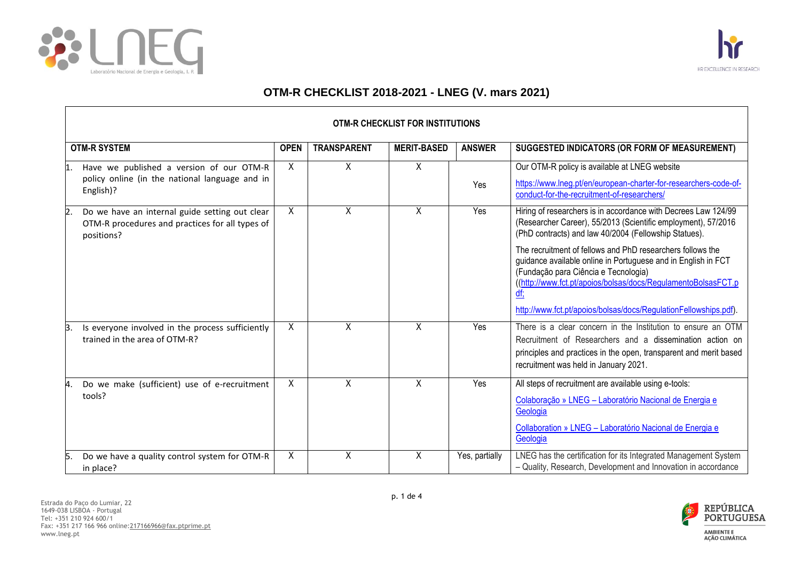

 $\mathsf{r}$ 



ᄀ

## **OTM-R CHECKLIST 2018-2021 - LNEG (V. mars 2021)**

| OTM-R CHECKLIST FOR INSTITUTIONS                                                                                                    |             |                    |                    |                |                                                                                                                                                                                                                                                                                                                                                                                                                                                                                                                    |  |
|-------------------------------------------------------------------------------------------------------------------------------------|-------------|--------------------|--------------------|----------------|--------------------------------------------------------------------------------------------------------------------------------------------------------------------------------------------------------------------------------------------------------------------------------------------------------------------------------------------------------------------------------------------------------------------------------------------------------------------------------------------------------------------|--|
| <b>OTM-R SYSTEM</b>                                                                                                                 | <b>OPEN</b> | <b>TRANSPARENT</b> | <b>MERIT-BASED</b> | <b>ANSWER</b>  | SUGGESTED INDICATORS (OR FORM OF MEASUREMENT)                                                                                                                                                                                                                                                                                                                                                                                                                                                                      |  |
| Have we published a version of our OTM-R<br>policy online (in the national language and in<br>English)?                             | X.          | X                  | X                  | Yes            | Our OTM-R policy is available at LNEG website<br>https://www.lneg.pt/en/european-charter-for-researchers-code-of-<br>conduct-for-the-recruitment-of-researchers/                                                                                                                                                                                                                                                                                                                                                   |  |
| Do we have an internal guide setting out clear<br>$\overline{2}$ .<br>OTM-R procedures and practices for all types of<br>positions? | X           | X                  | $\sf X$            | Yes            | Hiring of researchers is in accordance with Decrees Law 124/99<br>(Researcher Career), 55/2013 (Scientific employment), 57/2016<br>(PhD contracts) and law 40/2004 (Fellowship Statues).<br>The recruitment of fellows and PhD researchers follows the<br>guidance available online in Portuguese and in English in FCT<br>(Fundação para Ciência e Tecnologia)<br>((http://www.fct.pt/apoios/bolsas/docs/RegulamentoBolsasFCT.p<br><u>df;</u><br>http://www.fct.pt/apoios/bolsas/docs/RegulationFellowships.pdf). |  |
| Is everyone involved in the process sufficiently<br>Β.<br>trained in the area of OTM-R?                                             | X           | X                  | X                  | Yes            | There is a clear concern in the Institution to ensure an OTM<br>Recruitment of Researchers and a dissemination action on<br>principles and practices in the open, transparent and merit based<br>recruitment was held in January 2021.                                                                                                                                                                                                                                                                             |  |
| Do we make (sufficient) use of e-recruitment<br>4.<br>tools?                                                                        | X           | Χ                  | Χ                  | Yes            | All steps of recruitment are available using e-tools:<br>Colaboração » LNEG - Laboratório Nacional de Energia e<br>Geologia<br>Collaboration » LNEG - Laboratório Nacional de Energia e<br>Geologia                                                                                                                                                                                                                                                                                                                |  |
| Do we have a quality control system for OTM-R<br>15.<br>in place?                                                                   | X           | Χ                  | X                  | Yes, partially | LNEG has the certification for its Integrated Management System<br>- Quality, Research, Development and Innovation in accordance                                                                                                                                                                                                                                                                                                                                                                                   |  |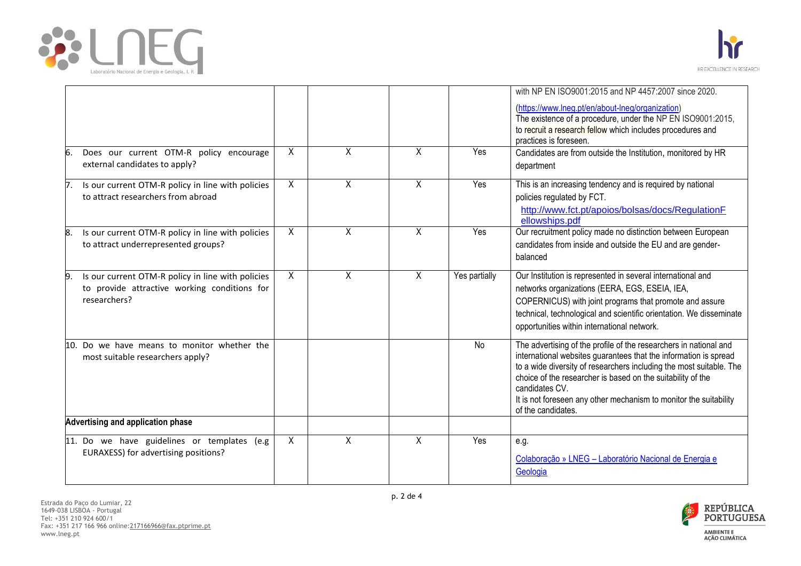



|                                                                                     |   |                |                |               | with NP EN ISO9001:2015 and NP 4457:2007 since 2020.                                                                               |
|-------------------------------------------------------------------------------------|---|----------------|----------------|---------------|------------------------------------------------------------------------------------------------------------------------------------|
|                                                                                     |   |                |                |               | (https://www.lneg.pt/en/about-lneg/organization)                                                                                   |
|                                                                                     |   |                |                |               | The existence of a procedure, under the NP EN ISO9001:2015,<br>to recruit a research fellow which includes procedures and          |
|                                                                                     |   |                |                |               | practices is foreseen.                                                                                                             |
| Does our current OTM-R policy encourage<br>6                                        | X | X              | X              | Yes           | Candidates are from outside the Institution, monitored by HR                                                                       |
| external candidates to apply?                                                       |   |                |                |               | department                                                                                                                         |
| Is our current OTM-R policy in line with policies<br>7.                             | X | $\overline{X}$ | X              | Yes           | This is an increasing tendency and is required by national                                                                         |
| to attract researchers from abroad                                                  |   |                |                |               | policies regulated by FCT.                                                                                                         |
|                                                                                     |   |                |                |               | http://www.fct.pt/apoios/bolsas/docs/RegulationF<br>ellowships.pdf                                                                 |
| Is our current OTM-R policy in line with policies<br>8.                             | X | X              | X              | Yes           | Our recruitment policy made no distinction between European                                                                        |
| to attract underrepresented groups?                                                 |   |                |                |               | candidates from inside and outside the EU and are gender-                                                                          |
|                                                                                     |   |                |                |               | balanced                                                                                                                           |
| Is our current OTM-R policy in line with policies<br>9                              | X | $\overline{X}$ | $\overline{X}$ | Yes partially | Our Institution is represented in several international and                                                                        |
| to provide attractive working conditions for<br>researchers?                        |   |                |                |               | networks organizations (EERA, EGS, ESEIA, IEA,<br>COPERNICUS) with joint programs that promote and assure                          |
|                                                                                     |   |                |                |               | technical, technological and scientific orientation. We disseminate                                                                |
|                                                                                     |   |                |                |               | opportunities within international network.                                                                                        |
| 10. Do we have means to monitor whether the                                         |   |                |                | No            | The advertising of the profile of the researchers in national and                                                                  |
| most suitable researchers apply?                                                    |   |                |                |               | international websites guarantees that the information is spread                                                                   |
|                                                                                     |   |                |                |               | to a wide diversity of researchers including the most suitable. The<br>choice of the researcher is based on the suitability of the |
|                                                                                     |   |                |                |               | candidates CV.                                                                                                                     |
|                                                                                     |   |                |                |               | It is not foreseen any other mechanism to monitor the suitability                                                                  |
| Advertising and application phase                                                   |   |                |                |               | of the candidates.                                                                                                                 |
|                                                                                     |   |                |                |               |                                                                                                                                    |
| 11. Do we have guidelines or templates (e.g<br>EURAXESS) for advertising positions? | X | X              | X              | Yes           | e.g.                                                                                                                               |
|                                                                                     |   |                |                |               | Colaboração » LNEG - Laboratório Nacional de Energia e                                                                             |
|                                                                                     |   |                |                |               | Geologia                                                                                                                           |

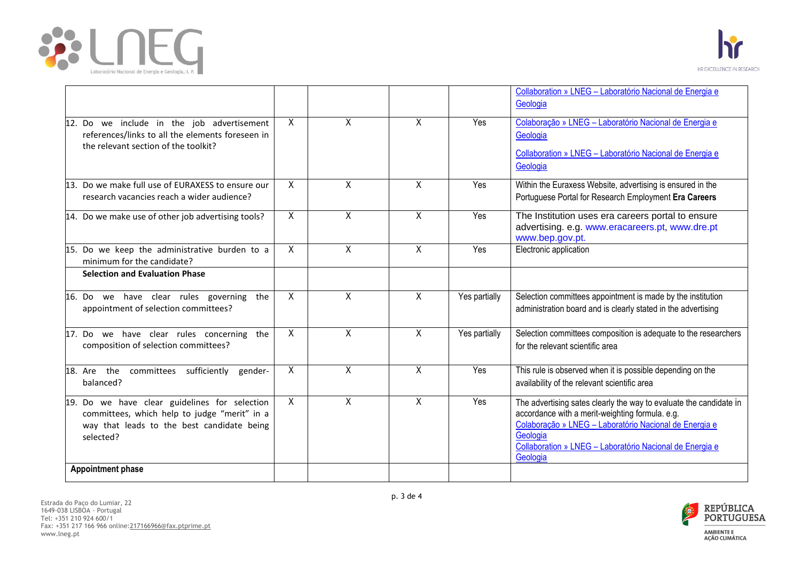



|                                                                                                                                                                                      |                |                |                |               | Collaboration » LNEG - Laboratório Nacional de Energia e<br>Geologia                                                                                                                                                                                                |
|--------------------------------------------------------------------------------------------------------------------------------------------------------------------------------------|----------------|----------------|----------------|---------------|---------------------------------------------------------------------------------------------------------------------------------------------------------------------------------------------------------------------------------------------------------------------|
| 12. Do we include in the job advertisement<br>references/links to all the elements foreseen in<br>the relevant section of the toolkit?                                               | $\mathsf{X}$   | X              | X              | Yes           | Colaboração » LNEG - Laboratório Nacional de Energia e<br>Geologia<br>Collaboration » LNEG - Laboratório Nacional de Energia e<br>Geologia                                                                                                                          |
| 13. Do we make full use of EURAXESS to ensure our<br>research vacancies reach a wider audience?                                                                                      | $\overline{X}$ | $\overline{X}$ | $\sf X$        | Yes           | Within the Euraxess Website, advertising is ensured in the<br>Portuguese Portal for Research Employment Era Careers                                                                                                                                                 |
| 14. Do we make use of other job advertising tools?                                                                                                                                   | X              | $\overline{X}$ | $\sf X$        | Yes           | The Institution uses era careers portal to ensure<br>advertising. e.g. www.eracareers.pt, www.dre.pt<br>www.bep.gov.pt.                                                                                                                                             |
| 15. Do we keep the administrative burden to a<br>minimum for the candidate?                                                                                                          | X              | $\overline{X}$ | $\overline{X}$ | Yes           | Electronic application                                                                                                                                                                                                                                              |
| <b>Selection and Evaluation Phase</b>                                                                                                                                                |                |                |                |               |                                                                                                                                                                                                                                                                     |
| 16. Do we have clear rules governing the<br>appointment of selection committees?                                                                                                     | X              | X              | $\sf X$        | Yes partially | Selection committees appointment is made by the institution<br>administration board and is clearly stated in the advertising                                                                                                                                        |
| 17. Do we have clear rules concerning the<br>composition of selection committees?                                                                                                    | X              | X              | $\sf X$        | Yes partially | Selection committees composition is adequate to the researchers<br>for the relevant scientific area                                                                                                                                                                 |
| 18. Are the committees sufficiently<br>gender-<br>balanced?                                                                                                                          | X              | X              | $\times$       | Yes           | This rule is observed when it is possible depending on the<br>availability of the relevant scientific area                                                                                                                                                          |
| 19. Do we have clear guidelines for selection<br>committees, which help to judge "merit" in a<br>way that leads to the best candidate being<br>selected?<br><b>Appointment phase</b> | X              | X              | $\times$       | Yes           | The advertising sates clearly the way to evaluate the candidate in<br>accordance with a merit-weighting formula. e.g.<br>Colaboração » LNEG - Laboratório Nacional de Energia e<br>Geologia<br>Collaboration » LNEG - Laboratório Nacional de Energia e<br>Geologia |
|                                                                                                                                                                                      |                |                |                |               |                                                                                                                                                                                                                                                                     |